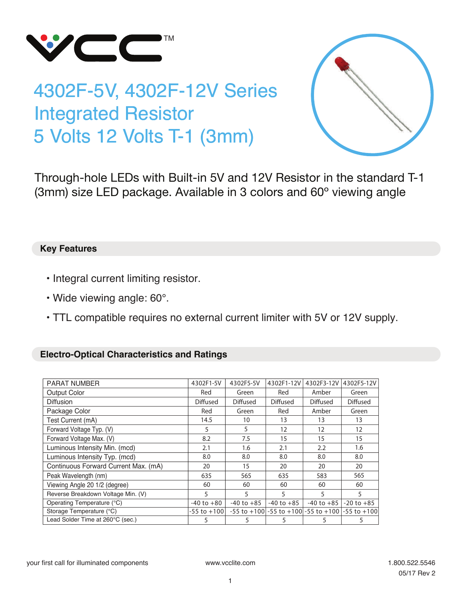

## 4302F-5V, 4302F-12V Series Integrated Resistor 5 Volts 12 Volts T-1 (3mm)



Through-hole LEDs with Built-in 5V and 12V Resistor in the standard T-1 (3mm) size LED package. Available in 3 colors and 60º viewing angle

## **Key Features**

- Integral current limiting resistor.
- Wide viewing angle: 60°.
- TTL compatible requires no external current limiter with 5V or 12V supply.

## **Electro-Optical Characteristics and Ratings**

| <b>PARAT NUMBER</b>                  | 4302F1-5V       | 4302F5-5V       | 4302F1-12V      | 4302F3-12V                                                | 4302F5-12V      |
|--------------------------------------|-----------------|-----------------|-----------------|-----------------------------------------------------------|-----------------|
| <b>Output Color</b>                  | Red             | Green           | Red             | Amber                                                     | Green           |
| <b>Diffusion</b>                     | <b>Diffused</b> | <b>Diffused</b> | <b>Diffused</b> | <b>Diffused</b>                                           | <b>Diffused</b> |
| Package Color                        | Red             | Green           | Red             | Amber                                                     | Green           |
| Test Current (mA)                    | 14.5            | 10              | 13              | 13                                                        | 13              |
| Forward Voltage Typ. (V)             | 5               | 5               | 12              | 12                                                        | 12              |
| Forward Voltage Max. (V)             | 8.2             | 7.5             | 15              | 15                                                        | 15              |
| Luminous Intensity Min. (mcd)        | 2.1             | 1.6             | 2.1             | 2.2                                                       | 1.6             |
| Luminous Intensity Typ. (mcd)        | 8.0             | 8.0             | 8.0             | 8.0                                                       | 8.0             |
| Continuous Forward Current Max. (mA) | 20              | 15              | 20              | 20                                                        | 20              |
| Peak Wavelength (nm)                 | 635             | 565             | 635             | 583                                                       | 565             |
| Viewing Angle 20 1/2 (degree)        | 60              | 60              | 60              | 60                                                        | 60              |
| Reverse Breakdown Voltage Min. (V)   | 5               | 5               | 5               | 5                                                         | 5               |
| Operating Temperature (°C)           | $-40$ to $+80$  | $-40$ to $+85$  | $-40$ to $+85$  | $-40$ to $+85$                                            | $-20$ to $+85$  |
| Storage Temperature (°C)             | $-55$ to $+100$ |                 |                 | $-55$ to $+100$ -55 to $+100$ -55 to $+100$ -55 to $+100$ |                 |
| Lead Solder Time at 260°C (sec.)     | 5               | 5               | 5.              | 5                                                         | 5               |